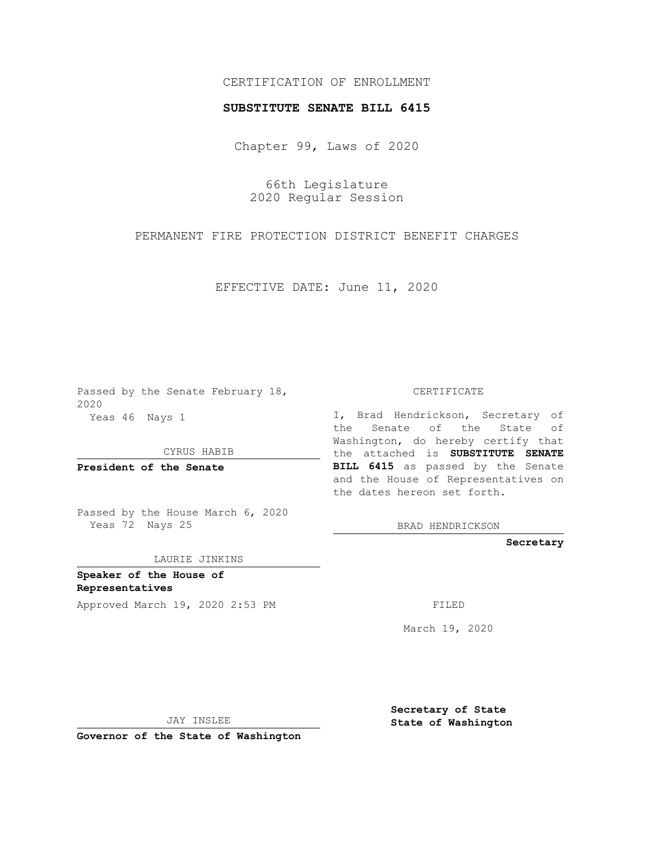## CERTIFICATION OF ENROLLMENT

## **SUBSTITUTE SENATE BILL 6415**

Chapter 99, Laws of 2020

66th Legislature 2020 Regular Session

PERMANENT FIRE PROTECTION DISTRICT BENEFIT CHARGES

EFFECTIVE DATE: June 11, 2020

Passed by the Senate February 18, 2020 Yeas 46 Nays 1

CYRUS HABIB

**President of the Senate**

Passed by the House March 6, 2020 Yeas 72 Nays 25

LAURIE JINKINS

**Speaker of the House of Representatives**

Approved March 19, 2020 2:53 PM FILED

CERTIFICATE

I, Brad Hendrickson, Secretary of the Senate of the State of Washington, do hereby certify that the attached is **SUBSTITUTE SENATE BILL 6415** as passed by the Senate and the House of Representatives on the dates hereon set forth.

BRAD HENDRICKSON

**Secretary**

March 19, 2020

JAY INSLEE

**Governor of the State of Washington**

**Secretary of State State of Washington**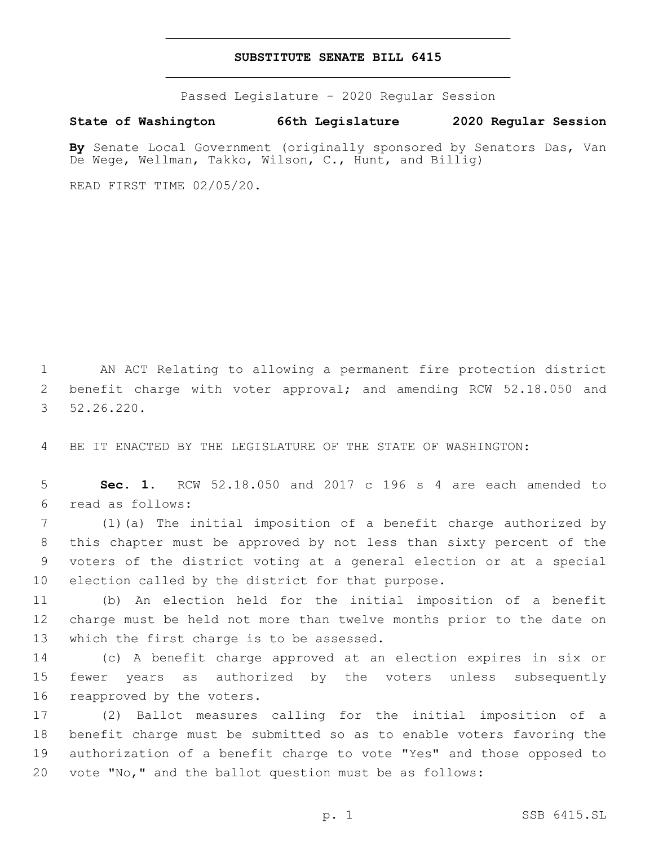## **SUBSTITUTE SENATE BILL 6415**

Passed Legislature - 2020 Regular Session

## **State of Washington 66th Legislature 2020 Regular Session**

**By** Senate Local Government (originally sponsored by Senators Das, Van De Wege, Wellman, Takko, Wilson, C., Hunt, and Billig)

READ FIRST TIME 02/05/20.

1 AN ACT Relating to allowing a permanent fire protection district 2 benefit charge with voter approval; and amending RCW 52.18.050 and 52.26.220.3

4 BE IT ENACTED BY THE LEGISLATURE OF THE STATE OF WASHINGTON:

5 **Sec. 1.** RCW 52.18.050 and 2017 c 196 s 4 are each amended to read as follows:6

 (1)(a) The initial imposition of a benefit charge authorized by this chapter must be approved by not less than sixty percent of the voters of the district voting at a general election or at a special 10 election called by the district for that purpose.

11 (b) An election held for the initial imposition of a benefit 12 charge must be held not more than twelve months prior to the date on 13 which the first charge is to be assessed.

14 (c) A benefit charge approved at an election expires in six or 15 fewer years as authorized by the voters unless subsequently 16 reapproved by the voters.

 (2) Ballot measures calling for the initial imposition of a benefit charge must be submitted so as to enable voters favoring the authorization of a benefit charge to vote "Yes" and those opposed to vote "No," and the ballot question must be as follows: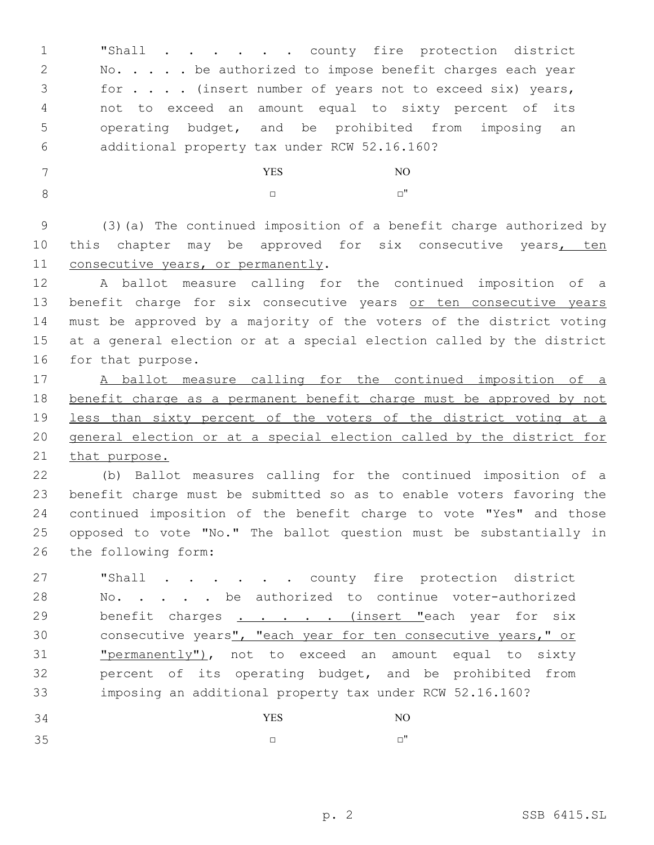**"Shall** . . . . . county fire protection district 2 No. . . . be authorized to impose benefit charges each year for . . . . (insert number of years not to exceed six) years, not to exceed an amount equal to sixty percent of its operating budget, and be prohibited from imposing an additional property tax under RCW 52.16.160?6

 YES NO □ □ □

 (3)(a) The continued imposition of a benefit charge authorized by 10 this chapter may be approved for six consecutive years, ten 11 consecutive years, or permanently.

 A ballot measure calling for the continued imposition of a 13 benefit charge for six consecutive years or ten consecutive years must be approved by a majority of the voters of the district voting at a general election or at a special election called by the district 16 for that purpose.

 A ballot measure calling for the continued imposition of a benefit charge as a permanent benefit charge must be approved by not less than sixty percent of the voters of the district voting at a general election or at a special election called by the district for that purpose.

 (b) Ballot measures calling for the continued imposition of a benefit charge must be submitted so as to enable voters favoring the continued imposition of the benefit charge to vote "Yes" and those opposed to vote "No." The ballot question must be substantially in 26 the following form:

27 "Shall . . . . . county fire protection district 28 Mo. . . . be authorized to continue voter-authorized 29 benefit charges . . . . . (insert "each year for six consecutive years", "each year for ten consecutive years," or "permanently"), not to exceed an amount equal to sixty percent of its operating budget, and be prohibited from imposing an additional property tax under RCW 52.16.160?

| 34 | <b>YES</b> | NO      |
|----|------------|---------|
| 35 |            | $\cdot$ |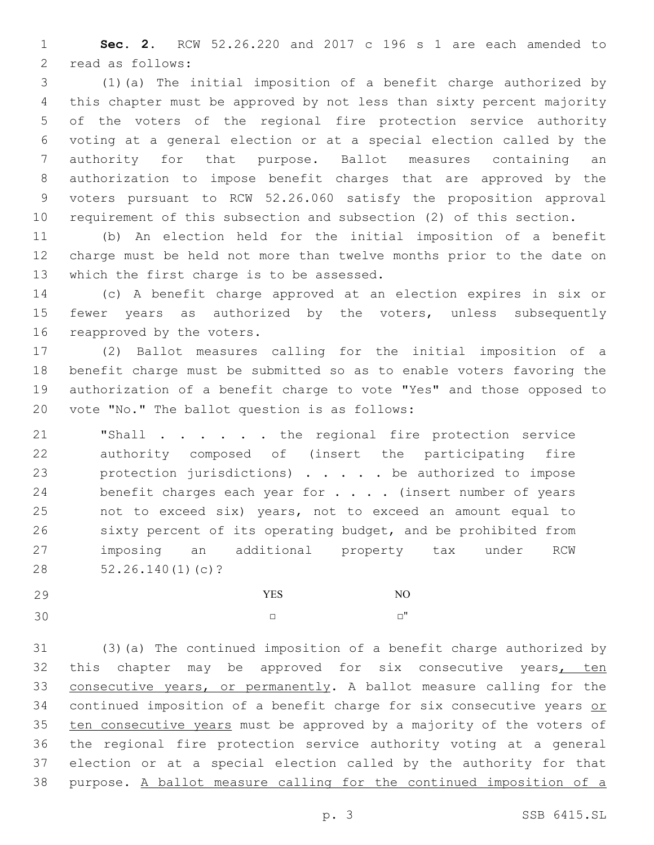**Sec. 2.** RCW 52.26.220 and 2017 c 196 s 1 are each amended to 2 read as follows:

 (1)(a) The initial imposition of a benefit charge authorized by this chapter must be approved by not less than sixty percent majority of the voters of the regional fire protection service authority voting at a general election or at a special election called by the authority for that purpose. Ballot measures containing an authorization to impose benefit charges that are approved by the voters pursuant to RCW 52.26.060 satisfy the proposition approval requirement of this subsection and subsection (2) of this section.

 (b) An election held for the initial imposition of a benefit charge must be held not more than twelve months prior to the date on 13 which the first charge is to be assessed.

 (c) A benefit charge approved at an election expires in six or 15 fewer years as authorized by the voters, unless subsequently 16 reapproved by the voters.

 (2) Ballot measures calling for the initial imposition of a benefit charge must be submitted so as to enable voters favoring the authorization of a benefit charge to vote "Yes" and those opposed to 20 vote "No." The ballot question is as follows:

 "Shall . . . . . . the regional fire protection service authority composed of (insert the participating fire protection jurisdictions) . . . . . be authorized to impose 24 benefit charges each year for . . . (insert number of years not to exceed six) years, not to exceed an amount equal to sixty percent of its operating budget, and be prohibited from imposing an additional property tax under RCW 28 52.26.140(1)(c)?

| 29 | YES | NO    |
|----|-----|-------|
| 30 |     | $-$ " |

 (3)(a) The continued imposition of a benefit charge authorized by 32 this chapter may be approved for six consecutive years, ten 33 consecutive years, or permanently. A ballot measure calling for the continued imposition of a benefit charge for six consecutive years or 35 ten consecutive years must be approved by a majority of the voters of the regional fire protection service authority voting at a general election or at a special election called by the authority for that purpose. A ballot measure calling for the continued imposition of a